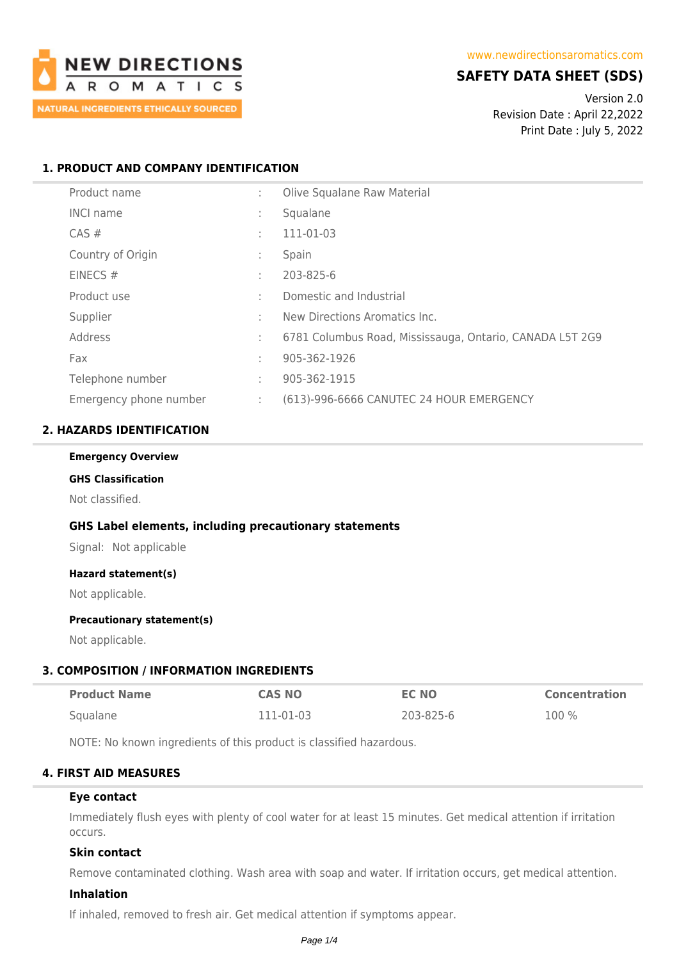

## **SAFETY DATA SHEET (SDS)**

Version 2.0 Revision Date : April 22,2022 Print Date : July 5, 2022

## **1. PRODUCT AND COMPANY IDENTIFICATION**

| Product name           | ÷            | Olive Squalane Raw Material                              |
|------------------------|--------------|----------------------------------------------------------|
| <b>INCI name</b>       |              | Squalane                                                 |
| CAS#                   | ÷            | 111-01-03                                                |
| Country of Origin      | $\mathbf{r}$ | Spain                                                    |
| EINECS $#$             | $\mathbf{r}$ | 203-825-6                                                |
| Product use            | ÷            | Domestic and Industrial                                  |
| Supplier               | ÷            | New Directions Aromatics Inc.                            |
| Address                | ÷            | 6781 Columbus Road, Mississauga, Ontario, CANADA L5T 2G9 |
| Fax                    | $\mathbf{r}$ | 905-362-1926                                             |
| Telephone number       | ÷            | 905-362-1915                                             |
| Emergency phone number | ÷            | (613)-996-6666 CANUTEC 24 HOUR EMERGENCY                 |

## **2. HAZARDS IDENTIFICATION**

#### **Emergency Overview**

# **GHS Classification**

Not classified.

### **GHS Label elements, including precautionary statements**

Signal: Not applicable

### **Hazard statement(s)**

Not applicable.

### **Precautionary statement(s)**

Not applicable.

### **3. COMPOSITION / INFORMATION INGREDIENTS**

| <b>Product Name</b> | <b>CAS NO</b> | <b>EC NO</b> | Concentration |
|---------------------|---------------|--------------|---------------|
| Squalane            | 111-01-03     | 203-825-6    | 100 %         |

NOTE: No known ingredients of this product is classified hazardous.

# **4. FIRST AID MEASURES**

### **Eye contact**

Immediately flush eyes with plenty of cool water for at least 15 minutes. Get medical attention if irritation occurs.

### **Skin contact**

Remove contaminated clothing. Wash area with soap and water. If irritation occurs, get medical attention.

### **Inhalation**

If inhaled, removed to fresh air. Get medical attention if symptoms appear.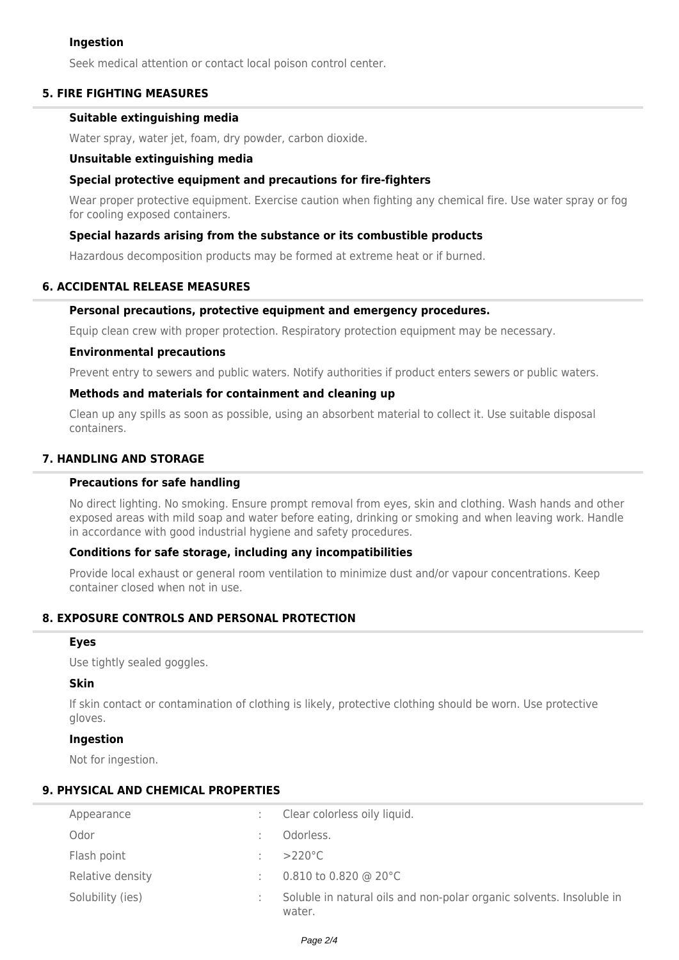### **Ingestion**

Seek medical attention or contact local poison control center.

### **5. FIRE FIGHTING MEASURES**

### **Suitable extinguishing media**

Water spray, water jet, foam, dry powder, carbon dioxide.

### **Unsuitable extinguishing media**

### **Special protective equipment and precautions for fire-fighters**

Wear proper protective equipment. Exercise caution when fighting any chemical fire. Use water spray or fog for cooling exposed containers.

### **Special hazards arising from the substance or its combustible products**

Hazardous decomposition products may be formed at extreme heat or if burned.

### **6. ACCIDENTAL RELEASE MEASURES**

### **Personal precautions, protective equipment and emergency procedures.**

Equip clean crew with proper protection. Respiratory protection equipment may be necessary.

### **Environmental precautions**

Prevent entry to sewers and public waters. Notify authorities if product enters sewers or public waters.

### **Methods and materials for containment and cleaning up**

Clean up any spills as soon as possible, using an absorbent material to collect it. Use suitable disposal containers.

## **7. HANDLING AND STORAGE**

## **Precautions for safe handling**

No direct lighting. No smoking. Ensure prompt removal from eyes, skin and clothing. Wash hands and other exposed areas with mild soap and water before eating, drinking or smoking and when leaving work. Handle in accordance with good industrial hygiene and safety procedures.

### **Conditions for safe storage, including any incompatibilities**

Provide local exhaust or general room ventilation to minimize dust and/or vapour concentrations. Keep container closed when not in use.

# **8. EXPOSURE CONTROLS AND PERSONAL PROTECTION**

### **Eyes**

Use tightly sealed goggles.

### **Skin**

If skin contact or contamination of clothing is likely, protective clothing should be worn. Use protective gloves.

### **Ingestion**

Not for ingestion.

### **9. PHYSICAL AND CHEMICAL PROPERTIES**

| Appearance       | Clear colorless oily liquid.                                                   |
|------------------|--------------------------------------------------------------------------------|
| Odor             | Odorless.                                                                      |
| Flash point      | $>220^{\circ}$ C                                                               |
| Relative density | 0.810 to 0.820 @ 20 $^{\circ}$ C                                               |
| Solubility (ies) | Soluble in natural oils and non-polar organic solvents. Insoluble in<br>water. |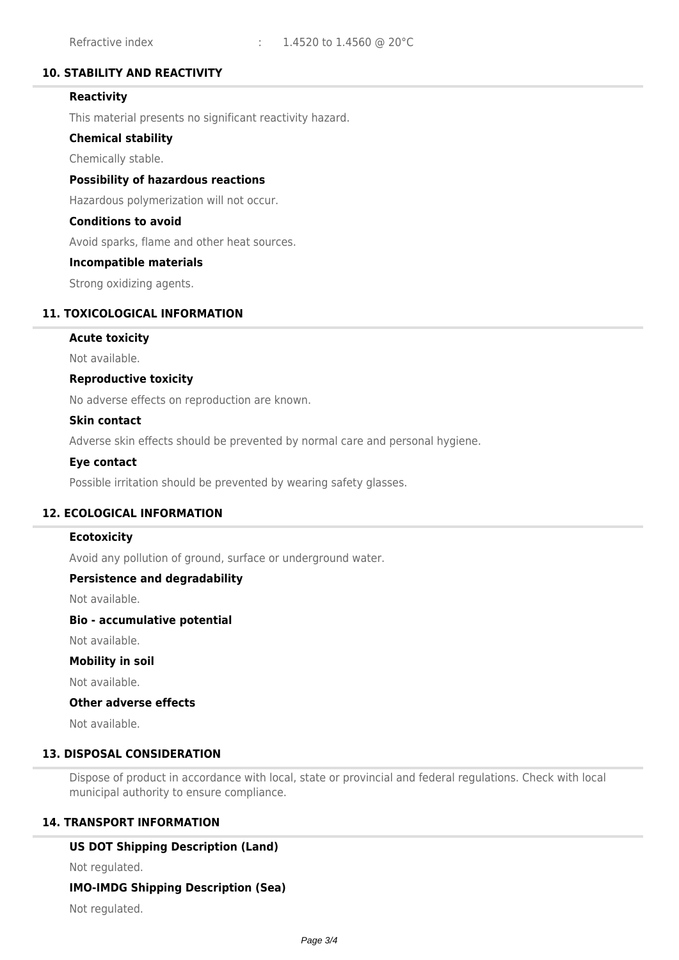## **10. STABILITY AND REACTIVITY**

## **Reactivity**

This material presents no significant reactivity hazard.

### **Chemical stability**

Chemically stable.

### **Possibility of hazardous reactions**

Hazardous polymerization will not occur.

### **Conditions to avoid**

Avoid sparks, flame and other heat sources.

### **Incompatible materials**

Strong oxidizing agents.

### **11. TOXICOLOGICAL INFORMATION**

### **Acute toxicity**

Not available.

### **Reproductive toxicity**

No adverse effects on reproduction are known.

### **Skin contact**

Adverse skin effects should be prevented by normal care and personal hygiene.

### **Eye contact**

Possible irritation should be prevented by wearing safety glasses.

### **12. ECOLOGICAL INFORMATION**

### **Ecotoxicity**

Avoid any pollution of ground, surface or underground water.

### **Persistence and degradability**

Not available.

### **Bio - accumulative potential**

Not available.

### **Mobility in soil**

Not available.

### **Other adverse effects**

Not available.

## **13. DISPOSAL CONSIDERATION**

Dispose of product in accordance with local, state or provincial and federal regulations. Check with local municipal authority to ensure compliance.

### **14. TRANSPORT INFORMATION**

### **US DOT Shipping Description (Land)**

Not regulated.

### **IMO-IMDG Shipping Description (Sea)**

Not regulated.